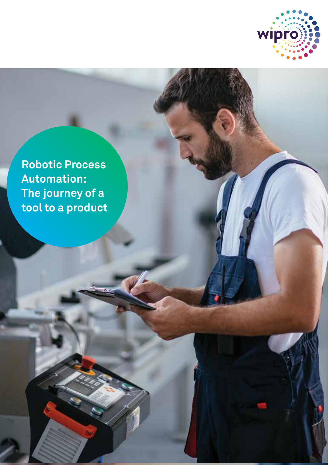

**Robotic Process Automation: The journey of a tool to a product**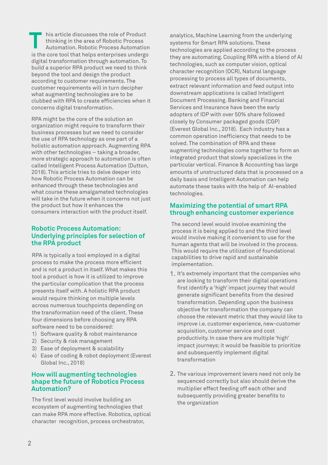is the core tool that helps enterprises undergo digital transformation through automation. To build a superior RPA product we need to think beyond the tool and design the product according to customer requirements. The customer requirements will in turn decipher what augmenting technologies are to be clubbed with RPA to create efficiencies when it concerns digital transformation. his article discusses the role of Product thinking in the area of Robotic Process<br>Automation. Robotic Process Automation

RPA might be the core of the solution an organization might require to transform their business processes but we need to consider the use of RPA technology as one part of a holistic automation approach. Augmenting RPA with other technologies – taking a broader, more strategic approach to automation is often called Intelligent Process Automation (Dutton, 2018). This article tries to delve deeper into how Robotic Process Automation can be enhanced through these technologies and what course these amalgamated technologies will take in the future when it concerns not just the product but how it enhances the consumers interaction with the product itself.

## **Robotic Process Automation: Underlying principles for selection of the RPA product**

RPA is typically a tool employed in a digital process to make the process more efficient and is not a product in itself. What makes this tool a product is how it is utilized to improve the particular complication that the process presents itself with. A holistic RPA product would require thinking on multiple levels across numerous touchpoints depending on the transformation need of the client. These four dimensions before choosing any RPA software need to be considered:

- 1) Software quality & robot maintenance
- 2) Security & risk management
- 3) Ease of deployment & scalability
- 4) Ease of coding & robot deployment (Everest Global Inc., 2018)

## **How will augmenting technologies shape the future of Robotics Process Automation?**

The first level would involve building an ecosystem of augmenting technologies that can make RPA more effective. Robotics, optical character recognition, process orchestrator,

analytics, Machine Learning from the underlying systems for Smart RPA solutions. These technologies are applied according to the process they are automating. Coupling RPA with a blend of AI technologies, such as computer vision, optical character recognition (OCR), Natural language processing to process all types of documents, extract relevant information and feed output into downstream applications is called Intelligent Document Processing. Banking and Financial Services and Insurance have been the early adopters of IDP with over 50% share followed closely by Consumer packaged goods (CGP) (Everest Global Inc., 2018). Each industry has a common operation inefficiency that needs to be solved. The combination of RPA and these augmenting technologies come together to form an integrated product that slowly specializes in the particular vertical. Finance & Accounting has large amounts of unstructured data that is processed on a daily basis and Intelligent Automation can help automate these tasks with the help of AI-enabled technologies.

## **Maximizing the potential of smart RPA through enhancing customer experience**

The second level would involve examining the process it is being applied to and the third level would involve making it convenient to use for the human agents that will be involved in the process. This would require the utilization of foundational capabilities to drive rapid and sustainable implementation.

- 1. It's extremely important that the companies who are looking to transform their digital operations first identify a 'high' impact journey that would generate significant benefits from the desired transformation. Depending upon the business objective for transformation the company can choose the relevant metric that they would like to improve i.e. customer experience, new-customer acquisition, customer service and cost productivity. In case there are multiple 'high' impact journeys; it would be feasible to prioritize and subsequently implement digital transformation
- 2. The various improvement levers need not only be sequenced correctly but also should derive the multiplier effect feeding off each other and subsequently providing greater benefits to the organization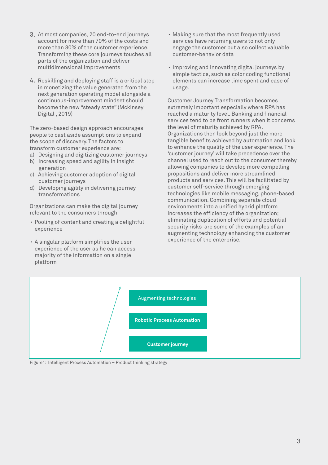- At most companies, 20 end-to-end journeys 3. account for more than 70% of the costs and more than 80% of the customer experience. Transforming these core journeys touches all parts of the organization and deliver multidimensional improvements
- 4. Reskilling and deploying staff is a critical step in monetizing the value generated from the next generation operating model alongside a continuous-improvement mindset should become the new "steady state" (Mckinsey Digital , 2019)

The zero-based design approach encourages people to cast aside assumptions to expand the scope of discovery. The factors to transform customer experience are:

- a) Designing and digitizing customer journeys
- b) Increasing speed and agility in insight
- generation c) Achieving customer adoption of digital customer journeys
- d) Developing agility in delivering journey transformations

Organizations can make the digital journey relevant to the consumers through

- Pooling of content and creating a delightful . experience
- A singular platform simplifies the user . experience of the user as he can access majority of the information on a single platform
- Making sure that the most frequently used . services have returning users to not only engage the customer but also collect valuable customer-behavior data
- Improving and innovating digital journeys by . simple tactics, such as color coding functional elements can increase time spent and ease of usage.

Customer Journey Transformation becomes extremely important especially where RPA has reached a maturity level. Banking and financial services tend to be front runners when it concerns the level of maturity achieved by RPA. Organizations then look beyond just the more tangible benefits achieved by automation and look to enhance the quality of the user experience. The 'customer journey' will take precedence over the channel used to reach out to the consumer thereby allowing companies to develop more compelling propositions and deliver more streamlined products and services. This will be facilitated by customer self-service through emerging technologies like mobile messaging, phone-based communication. Combining separate cloud environments into a unified hybrid platform increases the efficiency of the organization; eliminating duplication of efforts and potential security risks are some of the examples of an augmenting technology enhancing the customer experience of the enterprise.



Figure1: Intelligent Process Automation – Product thinking strategy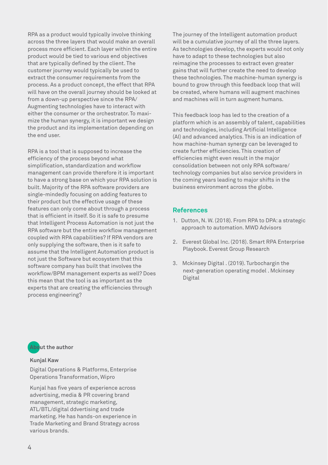RPA as a product would typically involve thinking across the three layers that would make an overall process more efficient. Each layer within the entire product would be tied to various end objectives that are typically defined by the client. The customer journey would typically be used to extract the consumer requirements from the process. As a product concept, the effect that RPA will have on the overall journey should be looked at from a down-up perspective since the RPA/ Augmenting technologies have to interact with either the consumer or the orchestrator. To maximize the human synergy, it is important we design the product and its implementation depending on the end user.

RPA is a tool that is supposed to increase the efficiency of the process beyond what simplification, standardization and workflow management can provide therefore it is important to have a strong base on which your RPA solution is built. Majority of the RPA software providers are single-mindedly focusing on adding features to their product but the effective usage of these features can only come about through a process that is efficient in itself. So it is safe to presume that Intelligent Process Automation is not just the RPA software but the entire workflow management coupled with RPA capabilities? If RPA vendors are only supplying the software, then is it safe to assume that the Intelligent Automation product is not just the Software but ecosystem that this software company has built that involves the workflow/BPM management experts as well? Does this mean that the tool is as important as the experts that are creating the efficiencies through process engineering?

The journey of the Intelligent automation product will be a cumulative journey of all the three layers. As technologies develop, the experts would not only have to adapt to these technologies but also reimagine the processes to extract even greater gains that will further create the need to develop these technologies. The machine-human synergy is bound to grow through this feedback loop that will be created, where humans will augment machines and machines will in turn augment humans.

This feedback loop has led to the creation of a platform which is an assembly of talent, capabilities and technologies, including Artificial Intelligence (AI) and advanced analytics. This is an indication of how machine-human synergy can be leveraged to create further efficiencies. This creation of efficiencies might even result in the major consolidation between not only RPA software/ technology companies but also service providers in the coming years leading to major shifts in the business environment across the globe.

# **References**

- 1. Dutton, N. W. (2018). From RPA to DPA: a strategic approach to automation. MWD Advisors
- 2. Everest Global Inc. (2018). Smart RPA Enterprise Playbook. Everest Group Research
- 3. Mckinsey Digital . (2019). Turbochargin the next-generation operating model . Mckinsey Digital



### **Kunjal Kaw**

Digital Operations & Platforms, Enterprise Operations Transformation, Wipro

Kunjal has five years of experience across advertising, media & PR covering brand management, strategic marketing, ATL/BTL/digital ddvertising and trade marketing. He has hands-on experience in Trade Marketing and Brand Strategy across various brands.